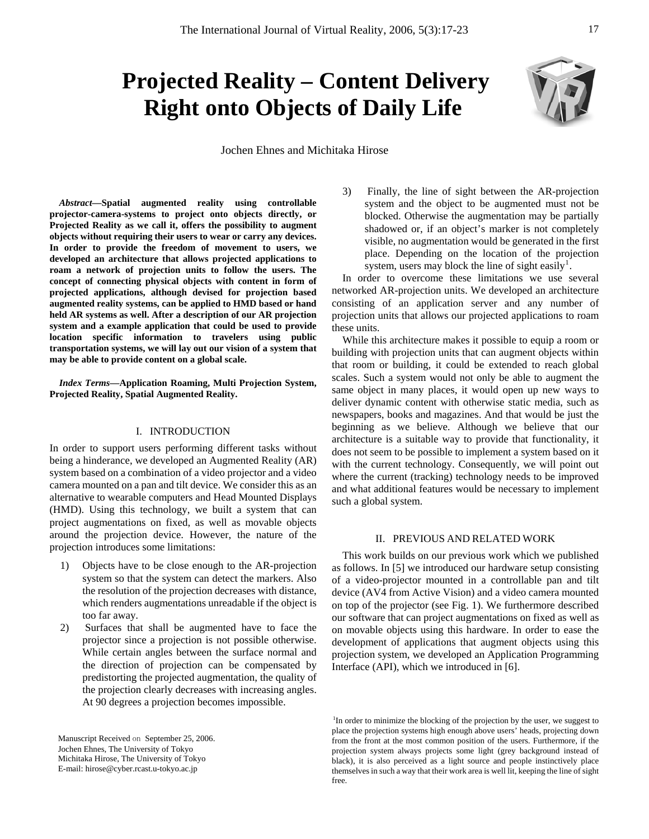# **Projected Reality – Content Delivery Right onto Objects of Daily Life**



Jochen Ehnes and Michitaka Hirose

*Abstract—***Spatial augmented reality using controllable projector-camera-systems to project onto objects directly, or Projected Reality as we call it, offers the possibility to augment objects without requiring their users to wear or carry any devices. In order to provide the freedom of movement to users, we developed an architecture that allows projected applications to roam a network of projection units to follow the users. The concept of connecting physical objects with content in form of projected applications, although devised for projection based augmented reality systems, can be applied to HMD based or hand held AR systems as well. After a description of our AR projection system and a example application that could be used to provide location specific information to travelers using public transportation systems, we will lay out our vision of a system that may be able to provide content on a global scale.** 

*Index Terms—***Application Roaming, Multi Projection System, Projected Reality, Spatial Augmented Reality.**

# I. INTRODUCTION

In order to support users performing different tasks without being a hinderance, we developed an Augmented Reality (AR) system based on a combination of a video projector and a video camera mounted on a pan and tilt device. We consider this as an alternative to wearable computers and Head Mounted Displays (HMD). Using this technology, we built a system that can project augmentations on fixed, as well as movable objects around the projection device. However, the nature of the projection introduces some limitations:

- 1) Objects have to be close enough to the AR-projection system so that the system can detect the markers. Also the resolution of the projection decreases with distance, which renders augmentations unreadable if the object is too far away.
- 2) Surfaces that shall be augmented have to face the projector since a projection is not possible otherwise. While certain angles between the surface normal and the direction of projection can be compensated by predistorting the projected augmentation, the quality of the projection clearly decreases with increasing angles. At 90 degrees a projection becomes impossible.

<span id="page-0-0"></span>Manuscript Received on September 25, 2006. Jochen Ehnes, The University of Tokyo Michitaka Hirose, The University of Tokyo E-mail: hirose@cyber.rcast.u-tokyo.ac.jp

3) Finally, the line of sight between the AR-projection system and the object to be augmented must not be blocked. Otherwise the augmentation may be partially shadowed or, if an object's marker is not completely visible, no augmentation would be generated in the first place. Depending on the location of the projection system, users may block the line of sight easily<sup>[1](#page-0-0)</sup>.

In order to overcome these limitations we use several networked AR-projection units. We developed an architecture consisting of an application server and any number of projection units that allows our projected applications to roam these units.

While this architecture makes it possible to equip a room or building with projection units that can augment objects within that room or building, it could be extended to reach global scales. Such a system would not only be able to augment the same object in many places, it would open up new ways to deliver dynamic content with otherwise static media, such as newspapers, books and magazines. And that would be just the beginning as we believe. Although we believe that our architecture is a suitable way to provide that functionality, it does not seem to be possible to implement a system based on it with the current technology. Consequently, we will point out where the current (tracking) technology needs to be improved and what additional features would be necessary to implement such a global system.

#### II. PREVIOUS AND RELATED WORK

This work builds on our previous work which we published as follows. In [5] we introduced our hardware setup consisting of a video-projector mounted in a controllable pan and tilt device (AV4 from Active Vision) and a video camera mounted on top of the projector (see Fig. 1). We furthermore described our software that can project augmentations on fixed as well as on movable objects using this hardware. In order to ease the development of applications that augment objects using this projection system, we developed an Application Programming Interface (API), which we introduced in [6].

<sup>&</sup>lt;sup>1</sup>In order to minimize the blocking of the projection by the user, we suggest to place the projection systems high enough above users' heads, projecting down from the front at the most common position of the users. Furthermore, if the projection system always projects some light (grey background instead of black), it is also perceived as a light source and people instinctively place themselves in such a way that their work area is well lit, keeping the line of sight free.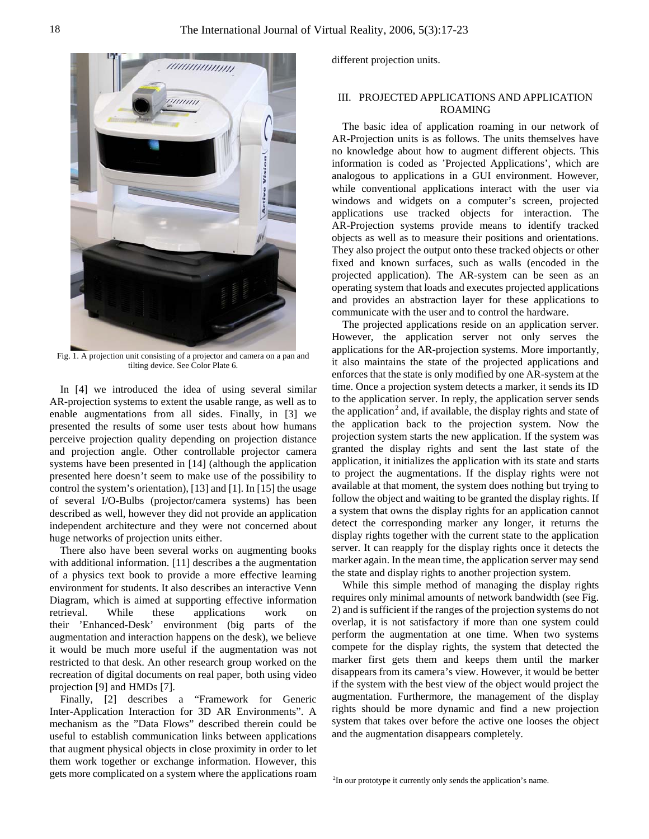

Fig. 1. A projection unit consisting of a projector and camera on a pan and tilting device. See Color Plate 6.

In [4] we introduced the idea of using several similar AR-projection systems to extent the usable range, as well as to enable augmentations from all sides. Finally, in [3] we presented the results of some user tests about how humans perceive projection quality depending on projection distance and projection angle. Other controllable projector camera systems have been presented in [14] (although the application presented here doesn't seem to make use of the possibility to control the system's orientation), [13] and [1]. In [15] the usage of several I/O-Bulbs (projector/camera systems) has been described as well, however they did not provide an application independent architecture and they were not concerned about huge networks of projection units either.

There also have been several works on augmenting books with additional information. [11] describes a the augmentation of a physics text book to provide a more effective learning environment for students. It also describes an interactive Venn Diagram, which is aimed at supporting effective information retrieval. While these applications work on their 'Enhanced-Desk' environment (big parts of the augmentation and interaction happens on the desk), we believe it would be much more useful if the augmentation was not restricted to that desk. An other research group worked on the recreation of digital documents on real paper, both using video projection [9] and HMDs [7].

<span id="page-1-0"></span>Finally, [2] describes a "Framework for Generic Inter-Application Interaction for 3D AR Environments". A mechanism as the "Data Flows" described therein could be useful to establish communication links between applications that augment physical objects in close proximity in order to let them work together or exchange information. However, this gets more complicated on a system where the applications roam different projection units.

## III. PROJECTED APPLICATIONS AND APPLICATION ROAMING

The basic idea of application roaming in our network of AR-Projection units is as follows. The units themselves have no knowledge about how to augment different objects. This information is coded as 'Projected Applications', which are analogous to applications in a GUI environment. However, while conventional applications interact with the user via windows and widgets on a computer's screen, projected applications use tracked objects for interaction. The AR-Projection systems provide means to identify tracked objects as well as to measure their positions and orientations. They also project the output onto these tracked objects or other fixed and known surfaces, such as walls (encoded in the projected application). The AR-system can be seen as an operating system that loads and executes projected applications and provides an abstraction layer for these applications to communicate with the user and to control the hardware.

The projected applications reside on an application server. However, the application server not only serves the applications for the AR-projection systems. More importantly, it also maintains the state of the projected applications and enforces that the state is only modified by one AR-system at the time. Once a projection system detects a marker, it sends its ID to the application server. In reply, the application server sends the application<sup>[2](#page-1-0)</sup> and, if available, the display rights and state of the application back to the projection system. Now the projection system starts the new application. If the system was granted the display rights and sent the last state of the application, it initializes the application with its state and starts to project the augmentations. If the display rights were not available at that moment, the system does nothing but trying to follow the object and waiting to be granted the display rights. If a system that owns the display rights for an application cannot detect the corresponding marker any longer, it returns the display rights together with the current state to the application server. It can reapply for the display rights once it detects the marker again. In the mean time, the application server may send the state and display rights to another projection system.

While this simple method of managing the display rights requires only minimal amounts of network bandwidth (see Fig. 2) and is sufficient if the ranges of the projection systems do not overlap, it is not satisfactory if more than one system could perform the augmentation at one time. When two systems compete for the display rights, the system that detected the marker first gets them and keeps them until the marker disappears from its camera's view. However, it would be better if the system with the best view of the object would project the augmentation. Furthermore, the management of the display rights should be more dynamic and find a new projection system that takes over before the active one looses the object and the augmentation disappears completely.

<sup>2</sup>In our prototype it currently only sends the application's name.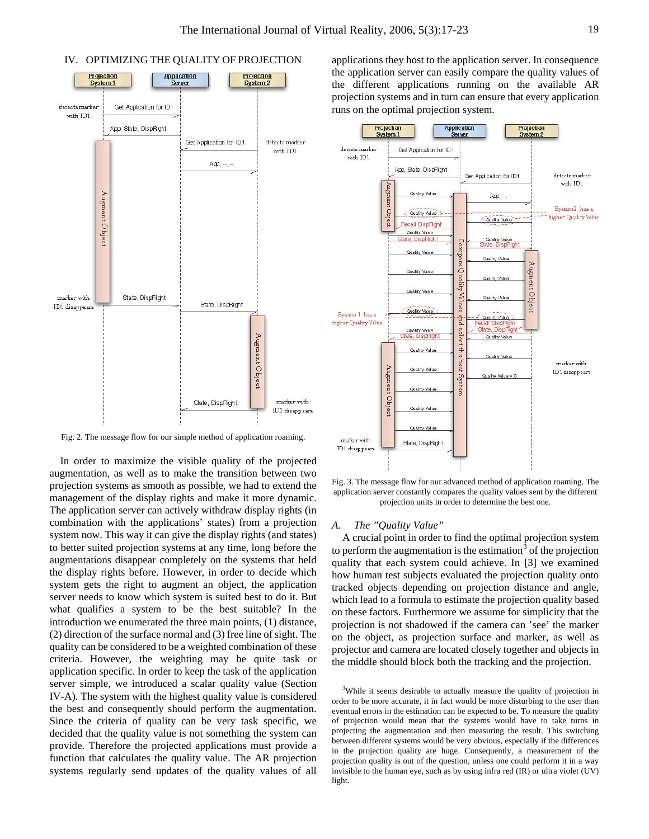# IV. OPTIMIZING THE QUALITY OF PROJECTION



Fig. 2. The message flow for our simple method of application roaming.

<span id="page-2-0"></span>In order to maximize the visible quality of the projected augmentation, as well as to make the transition between two projection systems as smooth as possible, we had to extend the management of the display rights and make it more dynamic. The application server can actively withdraw display rights (in combination with the applications' states) from a projection system now. This way it can give the display rights (and states) to better suited projection systems at any time, long before the augmentations disappear completely on the systems that held the display rights before. However, in order to decide which system gets the right to augment an object, the application server needs to know which system is suited best to do it. But what qualifies a system to be the best suitable? In the introduction we enumerated the three main points, (1) distance, (2) direction of the surface normal and (3) free line of sight. The quality can be considered to be a weighted combination of these criteria. However, the weighting may be quite task or application specific. In order to keep the task of the application server simple, we introduced a scalar quality value (Section IV-A). The system with the highest quality value is considered the best and consequently should perform the augmentation. Since the criteria of quality can be very task specific, we decided that the quality value is not something the system can provide. Therefore the projected applications must provide a function that calculates the quality value. The AR projection systems regularly send updates of the quality values of all applications they host to the application server. In consequence the application server can easily compare the quality values of the different applications running on the available AR projection systems and in turn can ensure that every application runs on the optimal projection system.



Fig. 3. The message flow for our advanced method of application roaming. The application server constantly compares the quality values sent by the different projection units in order to determine the best one.

#### *A. The "Quality Value"*

A crucial point in order to find the optimal projection system to perform the augmentation is the estimation<sup>[3](#page-2-0)</sup> of the projection quality that each system could achieve. In [3] we examined how human test subjects evaluated the projection quality onto tracked objects depending on projection distance and angle, which lead to a formula to estimate the projection quality based on these factors. Furthermore we assume for simplicity that the projection is not shadowed if the camera can 'see' the marker on the object, as projection surface and marker, as well as projector and camera are located closely together and objects in the middle should block both the tracking and the projection.

<sup>3</sup>While it seems desirable to actually measure the quality of projection in order to be more accurate, it in fact would be more disturbing to the user than eventual errors in the estimation can be expected to be. To measure the quality of projection would mean that the systems would have to take turns in projecting the augmentation and then measuring the result. This switching between different systems would be very obvious, especially if the differences in the projection quality are huge. Consequently, a measurement of the projection quality is out of the question, unless one could perform it in a way invisible to the human eye, such as by using infra red (IR) or ultra violet (UV) light.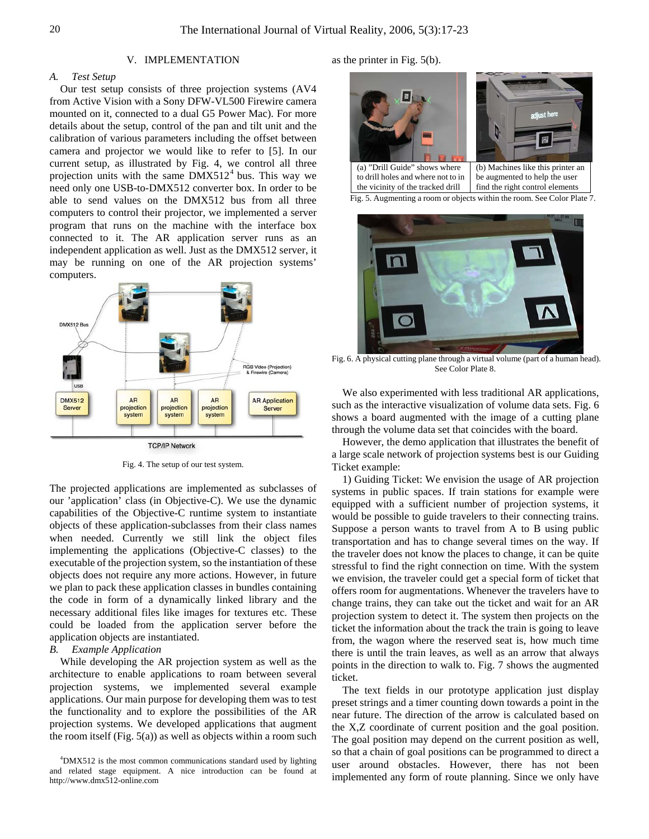## V. IMPLEMENTATION

## *A. Test Setup*

Our test setup consists of three projection systems (AV4 from Active Vision with a Sony DFW-VL500 Firewire camera mounted on it, connected to a dual G5 Power Mac). For more details about the setup, control of the pan and tilt unit and the calibration of various parameters including the offset between camera and projector we would like to refer to [5]. In our current setup, as illustrated by Fig. 4, we control all three projection units with the same  $DMX512<sup>4</sup>$  $DMX512<sup>4</sup>$  $DMX512<sup>4</sup>$  bus. This way we need only one USB-to-DMX512 converter box. In order to be able to send values on the DMX512 bus from all three computers to control their projector, we implemented a server program that runs on the machine with the interface box connected to it. The AR application server runs as an independent application as well. Just as the DMX512 server, it may be running on one of the AR projection systems' computers.



Fig. 4. The setup of our test system.

The projected applications are implemented as subclasses of our 'application' class (in Objective-C). We use the dynamic capabilities of the Objective-C runtime system to instantiate objects of these application-subclasses from their class names when needed. Currently we still link the object files implementing the applications (Objective-C classes) to the executable of the projection system, so the instantiation of these objects does not require any more actions. However, in future we plan to pack these application classes in bundles containing the code in form of a dynamically linked library and the necessary additional files like images for textures etc. These could be loaded from the application server before the application objects are instantiated.

# *B. Example Application*

While developing the AR projection system as well as the architecture to enable applications to roam between several projection systems, we implemented several example applications. Our main purpose for developing them was to test the functionality and to explore the possibilities of the AR projection systems. We developed applications that augment the room itself (Fig. 5(a)) as well as objects within a room such as the printer in Fig. 5(b).





Fig. 6. A physical cutting plane through a virtual volume (part of a human head). See Color Plate 8.

We also experimented with less traditional AR applications, such as the interactive visualization of volume data sets. Fig. 6 shows a board augmented with the image of a cutting plane through the volume data set that coincides with the board.

However, the demo application that illustrates the benefit of a large scale network of projection systems best is our Guiding Ticket example:

1) Guiding Ticket: We envision the usage of AR projection systems in public spaces. If train stations for example were equipped with a sufficient number of projection systems, it would be possible to guide travelers to their connecting trains. Suppose a person wants to travel from A to B using public transportation and has to change several times on the way. If the traveler does not know the places to change, it can be quite stressful to find the right connection on time. With the system we envision, the traveler could get a special form of ticket that offers room for augmentations. Whenever the travelers have to change trains, they can take out the ticket and wait for an AR projection system to detect it. The system then projects on the ticket the information about the track the train is going to leave from, the wagon where the reserved seat is, how much time there is until the train leaves, as well as an arrow that always points in the direction to walk to. Fig. 7 shows the augmented ticket.

The text fields in our prototype application just display preset strings and a timer counting down towards a point in the near future. The direction of the arrow is calculated based on the X,Z coordinate of current position and the goal position. The goal position may depend on the current position as well, so that a chain of goal positions can be programmed to direct a user around obstacles. However, there has not been implemented any form of route planning. Since we only have

<span id="page-3-0"></span><sup>4</sup> DMX512 is the most common communications standard used by lighting and related stage equipment. A nice introduction can be found at http://www.dmx512-online.com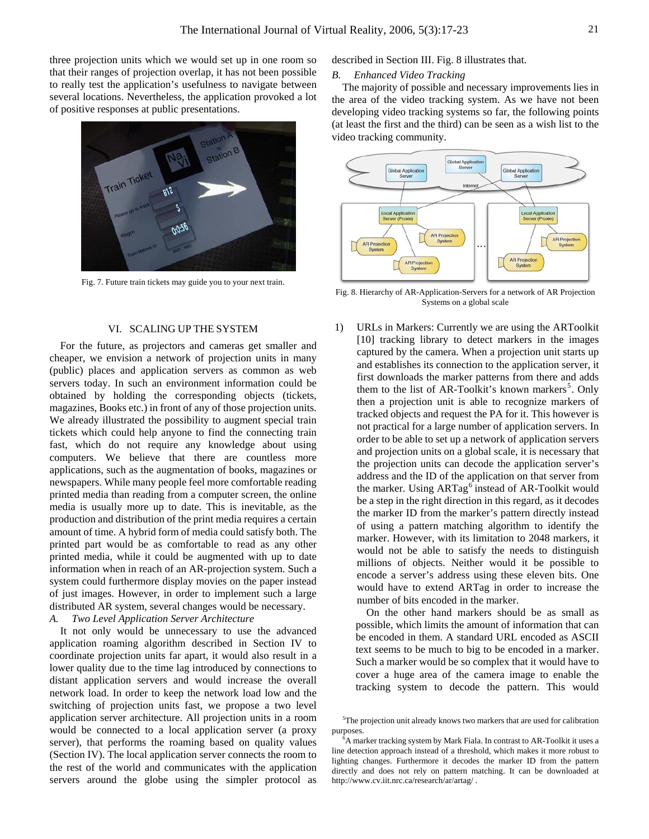three projection units which we would set up in one room so that their ranges of projection overlap, it has not been possible to really test the application's usefulness to navigate between several locations. Nevertheless, the application provoked a lot of positive responses at public presentations.



Fig. 7. Future train tickets may guide you to your next train.

### VI. SCALING UP THE SYSTEM

For the future, as projectors and cameras get smaller and cheaper, we envision a network of projection units in many (public) places and application servers as common as web servers today. In such an environment information could be obtained by holding the corresponding objects (tickets, magazines, Books etc.) in front of any of those projection units. We already illustrated the possibility to augment special train tickets which could help anyone to find the connecting train fast, which do not require any knowledge about using computers. We believe that there are countless more applications, such as the augmentation of books, magazines or newspapers. While many people feel more comfortable reading printed media than reading from a computer screen, the online media is usually more up to date. This is inevitable, as the production and distribution of the print media requires a certain amount of time. A hybrid form of media could satisfy both. The printed part would be as comfortable to read as any other printed media, while it could be augmented with up to date information when in reach of an AR-projection system. Such a system could furthermore display movies on the paper instead of just images. However, in order to implement such a large distributed AR system, several changes would be necessary.

# *A. Two Level Application Server Architecture*

<span id="page-4-1"></span><span id="page-4-0"></span>It not only would be unnecessary to use the advanced application roaming algorithm described in Section IV to coordinate projection units far apart, it would also result in a lower quality due to the time lag introduced by connections to distant application servers and would increase the overall network load. In order to keep the network load low and the switching of projection units fast, we propose a two level application server architecture. All projection units in a room would be connected to a local application server (a proxy server), that performs the roaming based on quality values (Section IV). The local application server connects the room to the rest of the world and communicates with the application servers around the globe using the simpler protocol as

described in Section III. Fig. 8 illustrates that.

# *B. Enhanced Video Tracking*

The majority of possible and necessary improvements lies in the area of the video tracking system. As we have not been developing video tracking systems so far, the following points (at least the first and the third) can be seen as a wish list to the video tracking community.



Fig. 8. Hierarchy of AR-Application-Servers for a network of AR Projection Systems on a global scale

1) URLs in Markers: Currently we are using the ARToolkit [10] tracking library to detect markers in the images captured by the camera. When a projection unit starts up and establishes its connection to the application server, it first downloads the marker patterns from there and adds them to the list of AR-Toolkit's known markers<sup>[5](#page-4-0)</sup>. Only then a projection unit is able to recognize markers of tracked objects and request the PA for it. This however is not practical for a large number of application servers. In order to be able to set up a network of application servers and projection units on a global scale, it is necessary that the projection units can decode the application server's address and the ID of the application on that server from the marker. Using  $ARTag^6$  $ARTag^6$  instead of AR-Toolkit would be a step in the right direction in this regard, as it decodes the marker ID from the marker's pattern directly instead of using a pattern matching algorithm to identify the marker. However, with its limitation to 2048 markers, it would not be able to satisfy the needs to distinguish millions of objects. Neither would it be possible to encode a server's address using these eleven bits. One would have to extend ARTag in order to increase the number of bits encoded in the marker.

On the other hand markers should be as small as possible, which limits the amount of information that can be encoded in them. A standard URL encoded as ASCII text seems to be much to big to be encoded in a marker. Such a marker would be so complex that it would have to cover a huge area of the camera image to enable the tracking system to decode the pattern. This would

<sup>&</sup>lt;sup>5</sup>The projection unit already knows two markers that are used for calibration purposes.

<sup>6</sup> A marker tracking system by Mark Fiala. In contrast to AR-Toolkit it uses a line detection approach instead of a threshold, which makes it more robust to lighting changes. Furthermore it decodes the marker ID from the pattern directly and does not rely on pattern matching. It can be downloaded at <http://www.cv.iit.nrc.ca/research/ar/artag/>.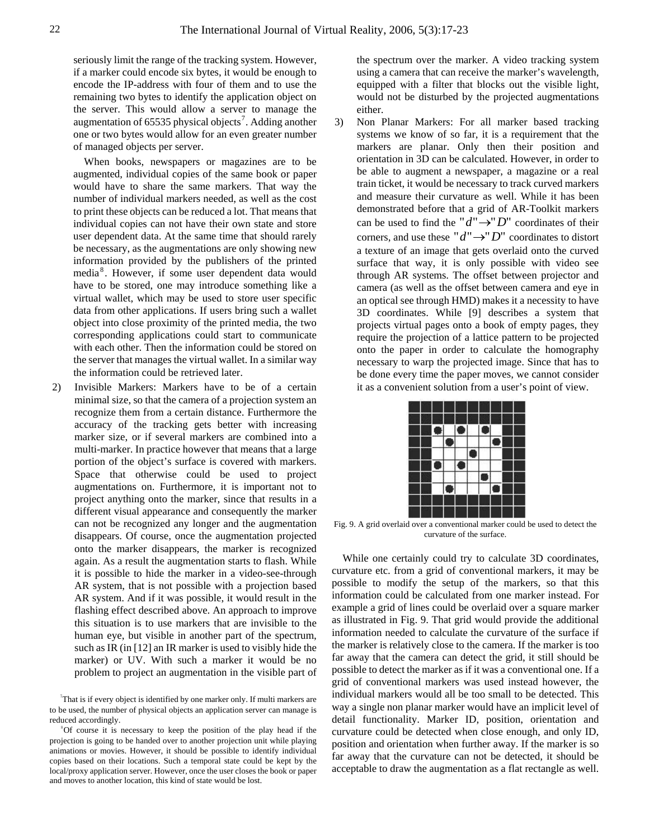seriously limit the range of the tracking system. However, if a marker could encode six bytes, it would be enough to encode the IP-address with four of them and to use the remaining two bytes to identify the application object on the server. This would allow a server to manage the augmentation of  $65535$  physical objects<sup>[7](#page-5-0)</sup>. Adding another one or two bytes would allow for an even greater number of managed objects per server.

When books, newspapers or magazines are to be augmented, individual copies of the same book or paper would have to share the same markers. That way the number of individual markers needed, as well as the cost to print these objects can be reduced a lot. That means that individual copies can not have their own state and store user dependent data. At the same time that should rarely be necessary, as the augmentations are only showing new information provided by the publishers of the printed media [8](#page-5-1) . However, if some user dependent data would have to be stored, one may introduce something like a virtual wallet, which may be used to store user specific data from other applications. If users bring such a wallet object into close proximity of the printed media, the two corresponding applications could start to communicate with each other. Then the information could be stored on the server that manages the virtual wallet. In a similar way the information could be retrieved later.

2) Invisible Markers: Markers have to be of a certain minimal size, so that the camera of a projection system an recognize them from a certain distance. Furthermore the accuracy of the tracking gets better with increasing marker size, or if several markers are combined into a multi-marker. In practice however that means that a large portion of the object's surface is covered with markers. Space that otherwise could be used to project augmentations on. Furthermore, it is important not to project anything onto the marker, since that results in a different visual appearance and consequently the marker can not be recognized any longer and the augmentation disappears. Of course, once the augmentation projected onto the marker disappears, the marker is recognized again. As a result the augmentation starts to flash. While it is possible to hide the marker in a video-see-through AR system, that is not possible with a projection based AR system. And if it was possible, it would result in the flashing effect described above. An approach to improve this situation is to use markers that are invisible to the human eye, but visible in another part of the spectrum, such as IR (in [12] an IR marker is used to visibly hide the marker) or UV. With such a marker it would be no problem to project an augmentation in the visible part of the spectrum over the marker. A video tracking system using a camera that can receive the marker's wavelength, equipped with a filter that blocks out the visible light, would not be disturbed by the projected augmentations either.

3) Non Planar Markers: For all marker based tracking systems we know of so far, it is a requirement that the markers are planar. Only then their position and orientation in 3D can be calculated. However, in order to be able to augment a newspaper, a magazine or a real train ticket, it would be necessary to track curved markers and measure their curvature as well. While it has been demonstrated before that a grid of AR-Toolkit markers can be used to find the  $d'' \rightarrow p''$  coordinates of their corners, and use these  $''d'' \rightarrow "D"$  coordinates to distort a texture of an image that gets overlaid onto the curved surface that way, it is only possible with video see through AR systems. The offset between projector and camera (as well as the offset between camera and eye in an optical see through HMD) makes it a necessity to have 3D coordinates. While [9] describes a system that projects virtual pages onto a book of empty pages, they require the projection of a lattice pattern to be projected onto the paper in order to calculate the homography necessary to warp the projected image. Since that has to be done every time the paper moves, we cannot consider it as a convenient solution from a user's point of view.



Fig. 9. A grid overlaid over a conventional marker could be used to detect the curvature of the surface.

While one certainly could try to calculate 3D coordinates, curvature etc. from a grid of conventional markers, it may be possible to modify the setup of the markers, so that this information could be calculated from one marker instead. For example a grid of lines could be overlaid over a square marker as illustrated in Fig. 9. That grid would provide the additional information needed to calculate the curvature of the surface if the marker is relatively close to the camera. If the marker is too far away that the camera can detect the grid, it still should be possible to detect the marker as if it was a conventional one. If a grid of conventional markers was used instead however, the individual markers would all be too small to be detected. This way a single non planar marker would have an implicit level of detail functionality. Marker ID, position, orientation and curvature could be detected when close enough, and only ID, position and orientation when further away. If the marker is so far away that the curvature can not be detected, it should be acceptable to draw the augmentation as a flat rectangle as well.

<span id="page-5-0"></span> $T$ That is if every object is identified by one marker only. If multi markers are to be used, the number of physical objects an application server can manage is reduced accordingly.

<span id="page-5-1"></span><sup>8</sup> Of course it is necessary to keep the position of the play head if the projection is going to be handed over to another projection unit while playing animations or movies. However, it should be possible to identify individual copies based on their locations. Such a temporal state could be kept by the local/proxy application server. However, once the user closes the book or paper and moves to another location, this kind of state would be lost.